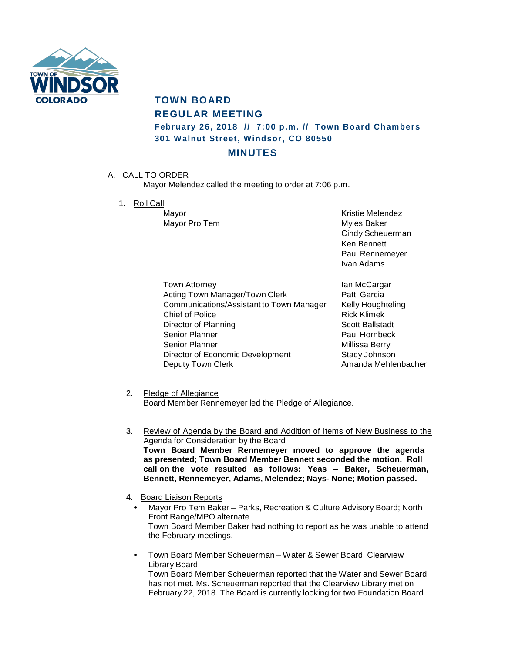

## **TOWN BOARD REGULAR MEETING February 26, 2018 // 7:00 p.m. // Town Board Chambers 301 Walnut Street, Windsor, CO 80550**

## **MINUTES**

A. CALL TO ORDER

Mayor Melendez called the meeting to order at 7:06 p.m.

1. Roll Call

Mayor Pro Tem **Myles** Baker

Mayor **Mayor** Kristie Melendez Cindy Scheuerman Ken Bennett Paul Rennemeyer Ivan Adams

Town Attorney **Internal Contract Contract Attorney** Ian McCargar Acting Town Manager/Town Clerk **Patti Garcia** Communications/Assistant to Town Manager Kelly Houghteling Chief of Police **Rick Klimek** Director of Planning Scott Ballstadt Senior Planner **Paul Hornbeck** Senior Planner Millissa Berry Director of Economic Development Stacy Johnson Deputy Town Clerk **Amanda Mehlenbacher** Amanda Mehlenbacher

2. Pledge of Allegiance

Board Member Rennemeyer led the Pledge of Allegiance.

- 3. Review of Agenda by the Board and Addition of Items of New Business to the Agenda for Consideration by the Board **Town Board Member Rennemeyer moved to approve the agenda as presented; Town Board Member Bennett seconded the motion. Roll call on the vote resulted as follows: Yeas – Baker, Scheuerman, Bennett, Rennemeyer, Adams, Melendez; Nays- None; Motion passed.**
- 4. Board Liaison Reports
	- Mayor Pro Tem Baker Parks, Recreation & Culture Advisory Board; North Front Range/MPO alternate Town Board Member Baker had nothing to report as he was unable to attend the February meetings.
	- Town Board Member Scheuerman Water & Sewer Board; Clearview Library Board

Town Board Member Scheuerman reported that the Water and Sewer Board has not met. Ms. Scheuerman reported that the Clearview Library met on February 22, 2018. The Board is currently looking for two Foundation Board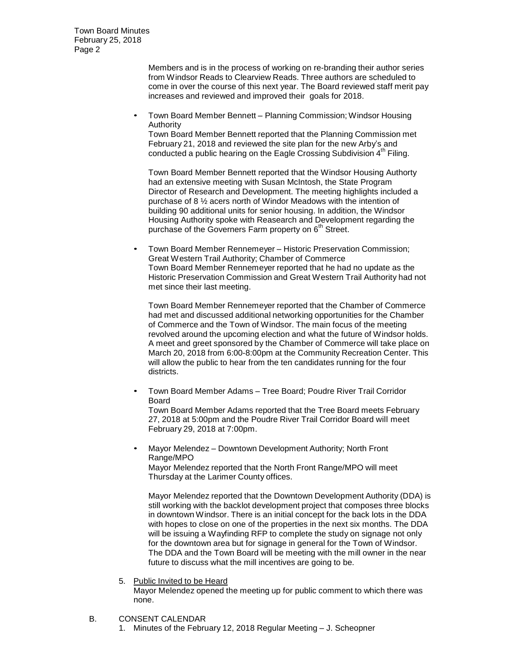> Members and is in the process of working on re-branding their author series from Windsor Reads to Clearview Reads. Three authors are scheduled to come in over the course of this next year. The Board reviewed staff merit pay increases and reviewed and improved their goals for 2018.

• Town Board Member Bennett – Planning Commission; Windsor Housing Authority

Town Board Member Bennett reported that the Planning Commission met February 21, 2018 and reviewed the site plan for the new Arby's and conducted a public hearing on the Eagle Crossing Subdivision 4<sup>th</sup> Filing.

Town Board Member Bennett reported that the Windsor Housing Authorty had an extensive meeting with Susan McIntosh, the State Program Director of Research and Development. The meeting highlights included a purchase of 8 ½ acers north of Windor Meadows with the intention of building 90 additional units for senior housing. In addition, the Windsor Housing Authority spoke with Reasearch and Development regarding the purchase of the Governers Farm property on 6<sup>th</sup> Street.

• Town Board Member Rennemeyer – Historic Preservation Commission; Great Western Trail Authority; Chamber of Commerce Town Board Member Rennemeyer reported that he had no update as the Historic Preservation Commission and Great Western Trail Authority had not met since their last meeting.

Town Board Member Rennemeyer reported that the Chamber of Commerce had met and discussed additional networking opportunities for the Chamber of Commerce and the Town of Windsor. The main focus of the meeting revolved around the upcoming election and what the future of Windsor holds. A meet and greet sponsored by the Chamber of Commerce will take place on March 20, 2018 from 6:00-8:00pm at the Community Recreation Center. This will allow the public to hear from the ten candidates running for the four districts.

• Town Board Member Adams – Tree Board; Poudre River Trail Corridor Board Town Board Member Adams reported that the Tree Board meets February

27, 2018 at 5:00pm and the Poudre River Trail Corridor Board will meet February 29, 2018 at 7:00pm.

• Mayor Melendez – Downtown Development Authority; North Front Range/MPO

Mayor Melendez reported that the North Front Range/MPO will meet Thursday at the Larimer County offices.

Mayor Melendez reported that the Downtown Development Authority (DDA) is still working with the backlot development project that composes three blocks in downtown Windsor. There is an initial concept for the back lots in the DDA with hopes to close on one of the properties in the next six months. The DDA will be issuing a Wayfinding RFP to complete the study on signage not only for the downtown area but for signage in general for the Town of Windsor. The DDA and the Town Board will be meeting with the mill owner in the near future to discuss what the mill incentives are going to be.

5. Public Invited to be Heard

Mayor Melendez opened the meeting up for public comment to which there was none.

- B. CONSENT CALENDAR
	- 1. Minutes of the February 12, 2018 Regular Meeting J. Scheopner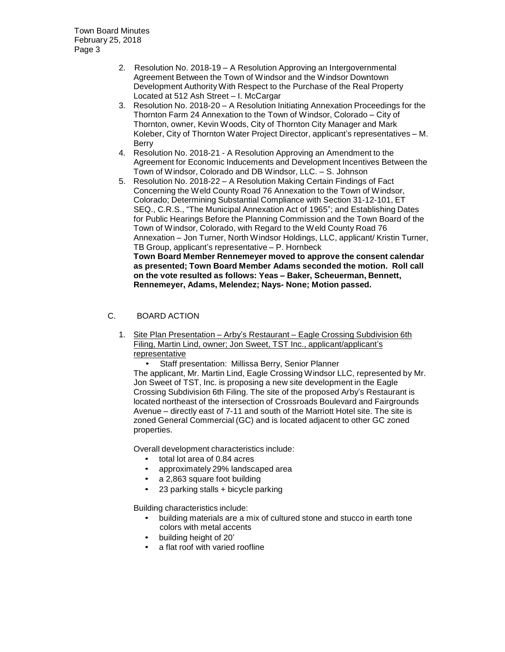- 2. Resolution No. 2018-19 A Resolution Approving an Intergovernmental Agreement Between the Town of Windsor and the Windsor Downtown Development Authority With Respect to the Purchase of the Real Property Located at 512 Ash Street – I. McCargar
- 3. Resolution No. 2018-20 A Resolution Initiating Annexation Proceedings for the Thornton Farm 24 Annexation to the Town of Windsor, Colorado – City of Thornton, owner, Kevin Woods, City of Thornton City Manager and Mark Koleber, City of Thornton Water Project Director, applicant's representatives – M. Berry
- 4. Resolution No. 2018-21 A Resolution Approving an Amendment to the Agreement for Economic Inducements and Development Incentives Between the Town of Windsor, Colorado and DB Windsor, LLC. – S. Johnson
- 5. Resolution No. 2018-22 A Resolution Making Certain Findings of Fact Concerning the Weld County Road 76 Annexation to the Town of Windsor, Colorado; Determining Substantial Compliance with Section 31-12-101, ET SEQ., C.R.S., "The Municipal Annexation Act of 1965"; and Establishing Dates for Public Hearings Before the Planning Commission and the Town Board of the Town of Windsor, Colorado, with Regard to the Weld County Road 76 Annexation – Jon Turner, North Windsor Holdings, LLC, applicant/ Kristin Turner, TB Group, applicant's representative – P. Hornbeck **Town Board Member Rennemeyer moved to approve the consent calendar as presented; Town Board Member Adams seconded the motion. Roll call on the vote resulted as follows: Yeas – Baker, Scheuerman, Bennett, Rennemeyer, Adams, Melendez; Nays- None; Motion passed.**

## C. BOARD ACTION

1. Site Plan Presentation – Arby's Restaurant – Eagle Crossing Subdivision 6th Filing, Martin Lind, owner; Jon Sweet, TST Inc., applicant/applicant's representative

• Staff presentation: Millissa Berry, Senior Planner The applicant, Mr. Martin Lind, Eagle Crossing Windsor LLC, represented by Mr. Jon Sweet of TST, Inc. is proposing a new site development in the Eagle Crossing Subdivision 6th Filing. The site of the proposed Arby's Restaurant is located northeast of the intersection of Crossroads Boulevard and Fairgrounds Avenue – directly east of 7-11 and south of the Marriott Hotel site. The site is zoned General Commercial (GC) and is located adjacent to other GC zoned properties.

Overall development characteristics include:

- total lot area of 0.84 acres
- approximately 29% landscaped area
- a 2,863 square foot building
- 23 parking stalls + bicycle parking

Building characteristics include:

- building materials are a mix of cultured stone and stucco in earth tone colors with metal accents
- building height of 20'
- a flat roof with varied roofline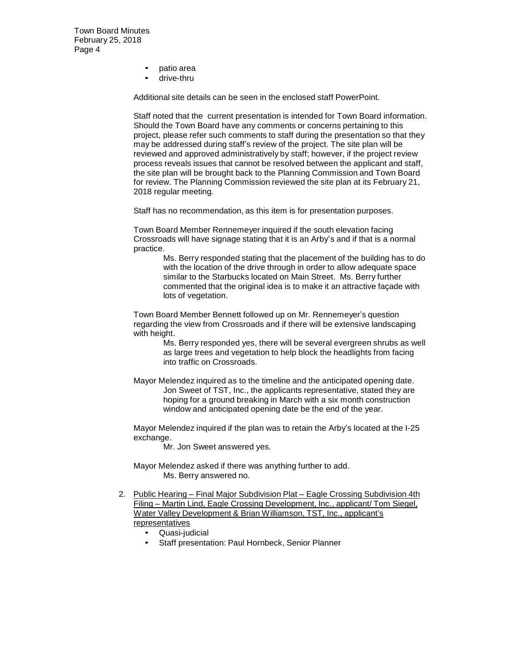- patio area
- drive-thru

Additional site details can be seen in the enclosed staff PowerPoint.

Staff noted that the current presentation is intended for Town Board information. Should the Town Board have any comments or concerns pertaining to this project, please refer such comments to staff during the presentation so that they may be addressed during staff's review of the project. The site plan will be reviewed and approved administratively by staff; however, if the project review process reveals issues that cannot be resolved between the applicant and staff, the site plan will be brought back to the Planning Commission and Town Board for review. The Planning Commission reviewed the site plan at its February 21, 2018 regular meeting.

Staff has no recommendation, as this item is for presentation purposes.

Town Board Member Rennemeyer inquired if the south elevation facing Crossroads will have signage stating that it is an Arby's and if that is a normal practice.

> Ms. Berry responded stating that the placement of the building has to do with the location of the drive through in order to allow adequate space similar to the Starbucks located on Main Street. Ms. Berry further commented that the original idea is to make it an attractive façade with lots of vegetation.

Town Board Member Bennett followed up on Mr. Rennemeyer's question regarding the view from Crossroads and if there will be extensive landscaping with height.

> Ms. Berry responded yes, there will be several evergreen shrubs as well as large trees and vegetation to help block the headlights from facing into traffic on Crossroads.

Mayor Melendez inquired as to the timeline and the anticipated opening date. Jon Sweet of TST, Inc., the applicants representative, stated they are hoping for a ground breaking in March with a six month construction window and anticipated opening date be the end of the year.

Mayor Melendez inquired if the plan was to retain the Arby's located at the I-25 exchange.

Mr. Jon Sweet answered yes.

Mayor Melendez asked if there was anything further to add. Ms. Berry answered no.

- 2. Public Hearing Final Major Subdivision Plat Eagle Crossing Subdivision 4th Filing – Martin Lind, Eagle Crossing Development, Inc., applicant/ Tom Siegel, Water Valley Development & Brian Williamson, TST, Inc., applicant's representatives
	- Quasi-judicial
	- Staff presentation: Paul Hornbeck, Senior Planner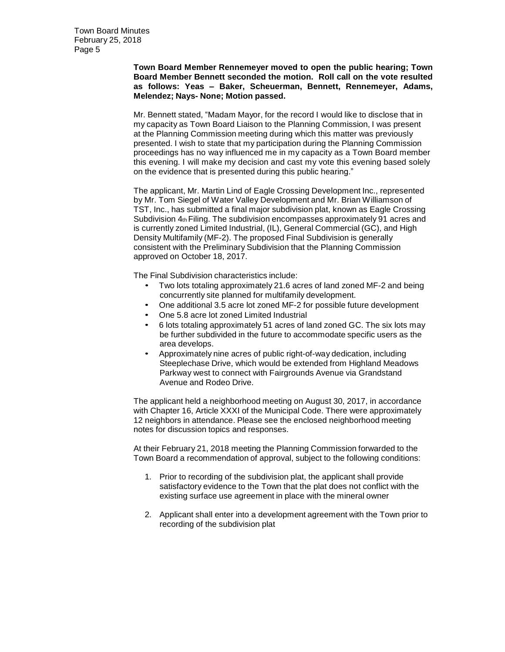**Town Board Member Rennemeyer moved to open the public hearing; Town Board Member Bennett seconded the motion. Roll call on the vote resulted as follows: Yeas – Baker, Scheuerman, Bennett, Rennemeyer, Adams, Melendez; Nays- None; Motion passed.**

Mr. Bennett stated, "Madam Mayor, for the record I would like to disclose that in my capacity as Town Board Liaison to the Planning Commission, I was present at the Planning Commission meeting during which this matter was previously presented. I wish to state that my participation during the Planning Commission proceedings has no way influenced me in my capacity as a Town Board member this evening. I will make my decision and cast my vote this evening based solely on the evidence that is presented during this public hearing."

The applicant, Mr. Martin Lind of Eagle Crossing Development Inc., represented by Mr. Tom Siegel of Water Valley Development and Mr. Brian Williamson of TST, Inc., has submitted a final major subdivision plat, known as Eagle Crossing Subdivision  $4<sub>th</sub>$  Filing. The subdivision encompasses approximately 91 acres and is currently zoned Limited Industrial, (IL), General Commercial (GC), and High Density Multifamily (MF-2). The proposed Final Subdivision is generally consistent with the Preliminary Subdivision that the Planning Commission approved on October 18, 2017.

The Final Subdivision characteristics include:

- Two lots totaling approximately 21.6 acres of land zoned MF-2 and being concurrently site planned for multifamily development.
- One additional 3.5 acre lot zoned MF-2 for possible future development
- One 5.8 acre lot zoned Limited Industrial
- 6 lots totaling approximately 51 acres of land zoned GC. The six lots may be further subdivided in the future to accommodate specific users as the area develops.
- Approximately nine acres of public right-of-way dedication, including Steeplechase Drive, which would be extended from Highland Meadows Parkway west to connect with Fairgrounds Avenue via Grandstand Avenue and Rodeo Drive.

The applicant held a neighborhood meeting on August 30, 2017, in accordance with Chapter 16, Article XXXI of the Municipal Code. There were approximately 12 neighbors in attendance. Please see the enclosed neighborhood meeting notes for discussion topics and responses.

At their February 21, 2018 meeting the Planning Commission forwarded to the Town Board a recommendation of approval, subject to the following conditions:

- 1. Prior to recording of the subdivision plat, the applicant shall provide satisfactory evidence to the Town that the plat does not conflict with the existing surface use agreement in place with the mineral owner
- 2. Applicant shall enter into a development agreement with the Town prior to recording of the subdivision plat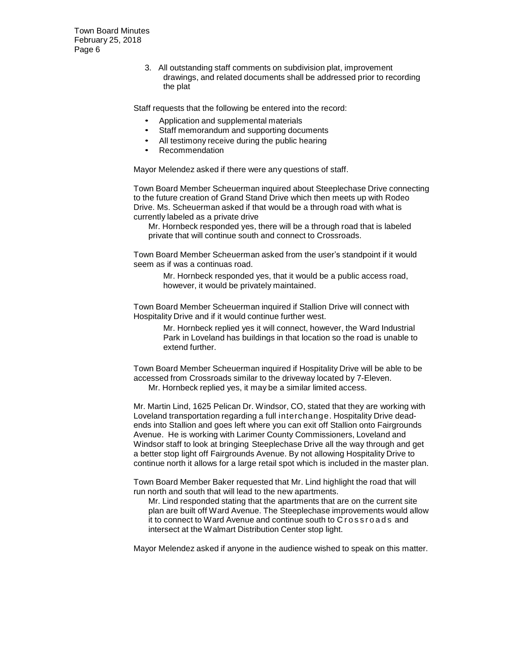> 3. All outstanding staff comments on subdivision plat, improvement drawings, and related documents shall be addressed prior to recording the plat

Staff requests that the following be entered into the record:

- Application and supplemental materials
- Staff memorandum and supporting documents
- All testimony receive during the public hearing
- Recommendation

Mayor Melendez asked if there were any questions of staff.

Town Board Member Scheuerman inquired about Steeplechase Drive connecting to the future creation of Grand Stand Drive which then meets up with Rodeo Drive. Ms. Scheuerman asked if that would be a through road with what is currently labeled as a private drive

Mr. Hornbeck responded yes, there will be a through road that is labeled private that will continue south and connect to Crossroads.

Town Board Member Scheuerman asked from the user's standpoint if it would seem as if was a continuas road.

> Mr. Hornbeck responded yes, that it would be a public access road, however, it would be privately maintained.

Town Board Member Scheuerman inquired if Stallion Drive will connect with Hospitality Drive and if it would continue further west.

> Mr. Hornbeck replied yes it will connect, however, the Ward Industrial Park in Loveland has buildings in that location so the road is unable to extend further.

Town Board Member Scheuerman inquired if Hospitality Drive will be able to be accessed from Crossroads similar to the driveway located by 7-Eleven. Mr. Hornbeck replied yes, it may be a similar limited access.

Mr. Martin Lind, 1625 Pelican Dr. Windsor, CO, stated that they are working with Loveland transportation regarding a full interchange. Hospitality Drive deadends into Stallion and goes left where you can exit off Stallion onto Fairgrounds Avenue. He is working with Larimer County Commissioners, Loveland and Windsor staff to look at bringing Steeplechase Drive all the way through and get a better stop light off Fairgrounds Avenue. By not allowing Hospitality Drive to continue north it allows for a large retail spot which is included in the master plan.

Town Board Member Baker requested that Mr. Lind highlight the road that will run north and south that will lead to the new apartments.

Mr. Lind responded stating that the apartments that are on the current site plan are built off Ward Avenue. The Steeplechase improvements would allow it to connect to Ward Avenue and continue south to Crossroads and intersect at the Walmart Distribution Center stop light.

Mayor Melendez asked if anyone in the audience wished to speak on this matter.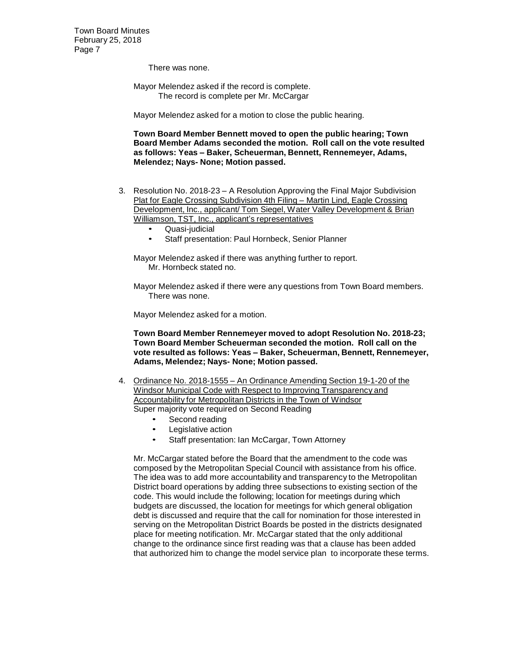There was none.

Mayor Melendez asked if the record is complete. The record is complete per Mr. McCargar

Mayor Melendez asked for a motion to close the public hearing.

**Town Board Member Bennett moved to open the public hearing; Town Board Member Adams seconded the motion. Roll call on the vote resulted as follows: Yeas – Baker, Scheuerman, Bennett, Rennemeyer, Adams, Melendez; Nays- None; Motion passed.**

- 3. Resolution No. 2018-23 A Resolution Approving the Final Major Subdivision Plat for Eagle Crossing Subdivision 4th Filing – Martin Lind, Eagle Crossing Development, Inc., applicant/ Tom Siegel, Water Valley Development & Brian Williamson, TST, Inc., applicant's representatives
	- Quasi-judicial
	- Staff presentation: Paul Hornbeck, Senior Planner

Mayor Melendez asked if there was anything further to report. Mr. Hornbeck stated no.

Mayor Melendez asked if there were any questions from Town Board members. There was none.

Mayor Melendez asked for a motion.

**Town Board Member Rennemeyer moved to adopt Resolution No. 2018-23; Town Board Member Scheuerman seconded the motion. Roll call on the vote resulted as follows: Yeas – Baker, Scheuerman, Bennett, Rennemeyer, Adams, Melendez; Nays- None; Motion passed.**

- 4. Ordinance No. 2018-1555 An Ordinance Amending Section 19-1-20 of the Windsor Municipal Code with Respect to Improving Transparency and Accountability for Metropolitan Districts in the Town of Windsor Super majority vote required on Second Reading
	- Second reading
	- Legislative action
	- Staff presentation: Ian McCargar, Town Attorney

Mr. McCargar stated before the Board that the amendment to the code was composed by the Metropolitan Special Council with assistance from his office. The idea was to add more accountability and transparency to the Metropolitan District board operations by adding three subsections to existing section of the code. This would include the following; location for meetings during which budgets are discussed, the location for meetings for which general obligation debt is discussed and require that the call for nomination for those interested in serving on the Metropolitan District Boards be posted in the districts designated place for meeting notification. Mr. McCargar stated that the only additional change to the ordinance since first reading was that a clause has been added that authorized him to change the model service plan to incorporate these terms.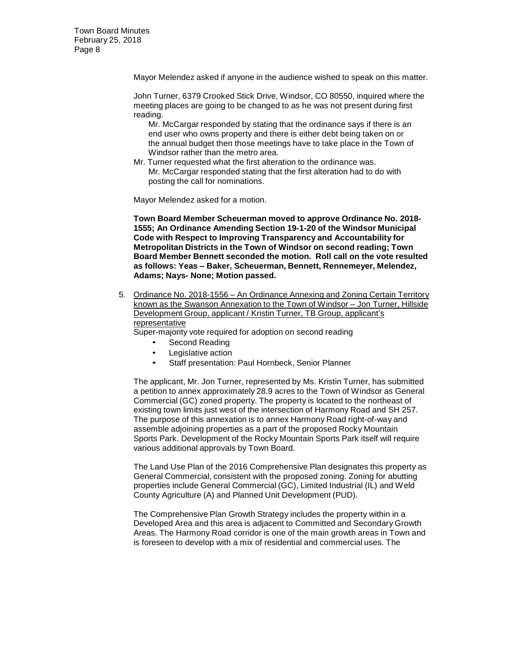Mayor Melendez asked if anyone in the audience wished to speak on this matter.

John Turner, 6379 Crooked Stick Drive, Windsor, CO 80550, inquired where the meeting places are going to be changed to as he was not present during first reading.

Mr. McCargar responded by stating that the ordinance says if there is an end user who owns property and there is either debt being taken on or the annual budget then those meetings have to take place in the Town of Windsor rather than the metro area.

Mr. Turner requested what the first alteration to the ordinance was. Mr. McCargar responded stating that the first alteration had to do with posting the call for nominations.

Mayor Melendez asked for a motion.

**Town Board Member Scheuerman moved to approve Ordinance No. 2018- 1555; An Ordinance Amending Section 19-1-20 of the Windsor Municipal Code with Respect to Improving Transparency and Accountability for Metropolitan Districts in the Town of Windsor on second reading; Town Board Member Bennett seconded the motion. Roll call on the vote resulted as follows: Yeas – Baker, Scheuerman, Bennett, Rennemeyer, Melendez, Adams; Nays- None; Motion passed.**

5. Ordinance No. 2018-1556 – An Ordinance Annexing and Zoning Certain Territory known as the Swanson Annexation to the Town of Windsor – Jon Turner, Hillside Development Group, applicant / Kristin Turner, TB Group, applicant's representative

Super-majority vote required for adoption on second reading

- Second Reading
- Legislative action
- Staff presentation: Paul Hornbeck, Senior Planner

The applicant, Mr. Jon Turner, represented by Ms. Kristin Turner, has submitted a petition to annex approximately 28.9 acres to the Town of Windsor as General Commercial (GC) zoned property. The property is located to the northeast of existing town limits just west of the intersection of Harmony Road and SH 257. The purpose of this annexation is to annex Harmony Road right-of-way and assemble adjoining properties as a part of the proposed Rocky Mountain Sports Park. Development of the Rocky Mountain Sports Park itself will require various additional approvals by Town Board.

The Land Use Plan of the 2016 Comprehensive Plan designates this property as General Commercial, consistent with the proposed zoning. Zoning for abutting properties include General Commercial (GC), Limited Industrial (IL) and Weld County Agriculture (A) and Planned Unit Development (PUD).

The Comprehensive Plan Growth Strategy includes the property within in a Developed Area and this area is adjacent to Committed and Secondary Growth Areas. The Harmony Road corridor is one of the main growth areas in Town and is foreseen to develop with a mix of residential and commercial uses. The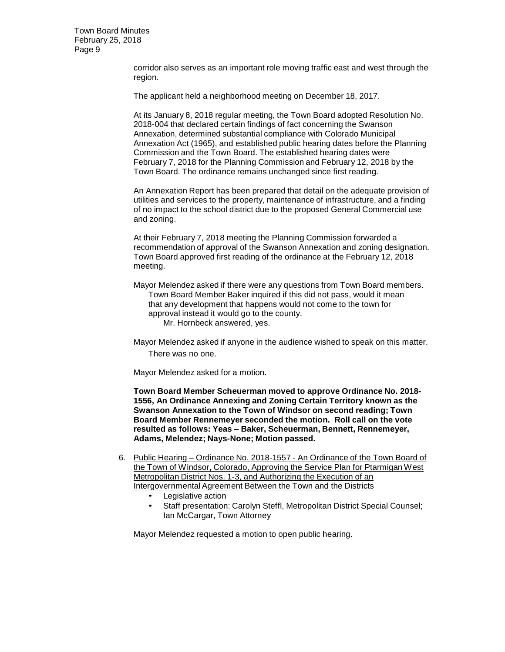> corridor also serves as an important role moving traffic east and west through the region.

The applicant held a neighborhood meeting on December 18, 2017.

At its January 8, 2018 regular meeting, the Town Board adopted Resolution No. 2018-004 that declared certain findings of fact concerning the Swanson Annexation, determined substantial compliance with Colorado Municipal Annexation Act (1965), and established public hearing dates before the Planning Commission and the Town Board. The established hearing dates were February 7, 2018 for the Planning Commission and February 12, 2018 by the Town Board. The ordinance remains unchanged since first reading.

An Annexation Report has been prepared that detail on the adequate provision of utilities and services to the property, maintenance of infrastructure, and a finding of no impact to the school district due to the proposed General Commercial use and zoning.

At their February 7, 2018 meeting the Planning Commission forwarded a recommendation of approval of the Swanson Annexation and zoning designation. Town Board approved first reading of the ordinance at the February 12, 2018 meeting.

Mayor Melendez asked if there were any questions from Town Board members. Town Board Member Baker inquired if this did not pass, would it mean that any development that happens would not come to the town for approval instead it would go to the county. Mr. Hornbeck answered, yes.

Mayor Melendez asked if anyone in the audience wished to speak on this matter. There was no one.

Mayor Melendez asked for a motion.

**Town Board Member Scheuerman moved to approve Ordinance No. 2018- 1556, An Ordinance Annexing and Zoning Certain Territory known as the Swanson Annexation to the Town of Windsor on second reading; Town Board Member Rennemeyer seconded the motion. Roll call on the vote resulted as follows: Yeas – Baker, Scheuerman, Bennett, Rennemeyer, Adams, Melendez; Nays-None; Motion passed.**

- 6. Public Hearing Ordinance No. 2018-1557 An Ordinance of the Town Board of the Town of Windsor, Colorado, Approving the Service Plan for Ptarmigan West Metropolitan District Nos. 1-3, and Authorizing the Execution of an Intergovernmental Agreement Between the Town and the Districts
	- Legislative action
	- Staff presentation: Carolyn Steffl, Metropolitan District Special Counsel; Ian McCargar, Town Attorney

Mayor Melendez requested a motion to open public hearing.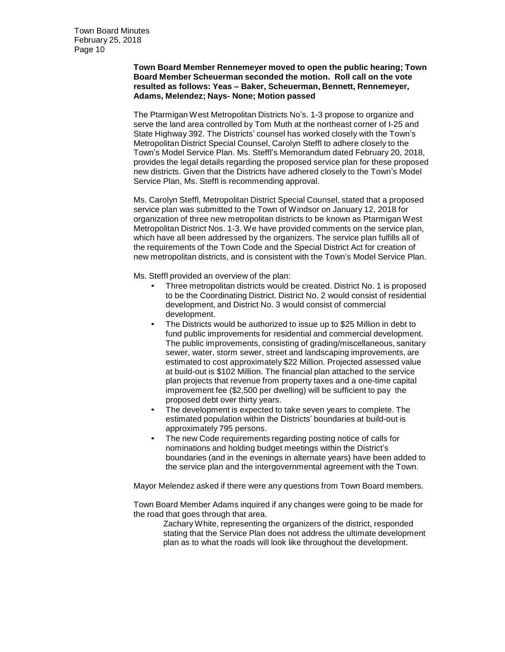## **Town Board Member Rennemeyer moved to open the public hearing; Town Board Member Scheuerman seconded the motion. Roll call on the vote resulted as follows: Yeas – Baker, Scheuerman, Bennett, Rennemeyer, Adams, Melendez; Nays- None; Motion passed**

The Ptarmigan West Metropolitan Districts No's. 1-3 propose to organize and serve the land area controlled by Tom Muth at the northeast corner of I-25 and State Highway 392. The Districts' counsel has worked closely with the Town's Metropolitan District Special Counsel, Carolyn Steffl to adhere closely to the Town's Model Service Plan. Ms. Steffl's Memorandum dated February 20, 2018, provides the legal details regarding the proposed service plan for these proposed new districts. Given that the Districts have adhered closely to the Town's Model Service Plan, Ms. Steffl is recommending approval.

Ms. Carolyn Steffl, Metropolitan District Special Counsel, stated that a proposed service plan was submitted to the Town of Windsor on January 12, 2018 for organization of three new metropolitan districts to be known as Ptarmigan West Metropolitan District Nos. 1-3. We have provided comments on the service plan, which have all been addressed by the organizers. The service plan fulfills all of the requirements of the Town Code and the Special District Act for creation of new metropolitan districts, and is consistent with the Town's Model Service Plan.

Ms. Steffl provided an overview of the plan:

- Three metropolitan districts would be created. District No. 1 is proposed to be the Coordinating District. District No. 2 would consist of residential development, and District No. 3 would consist of commercial development.
- The Districts would be authorized to issue up to \$25 Million in debt to fund public improvements for residential and commercial development. The public improvements, consisting of grading/miscellaneous, sanitary sewer, water, storm sewer, street and landscaping improvements, are estimated to cost approximately \$22 Million. Projected assessed value at build-out is \$102 Million. The financial plan attached to the service plan projects that revenue from property taxes and a one-time capital improvement fee (\$2,500 per dwelling) will be sufficient to pay the proposed debt over thirty years.
- The development is expected to take seven years to complete. The estimated population within the Districts' boundaries at build-out is approximately 795 persons.
- The new Code requirements regarding posting notice of calls for nominations and holding budget meetings within the District's boundaries (and in the evenings in alternate years) have been added to the service plan and the intergovernmental agreement with the Town.

Mayor Melendez asked if there were any questions from Town Board members.

Town Board Member Adams inquired if any changes were going to be made for the road that goes through that area.

Zachary White, representing the organizers of the district, responded stating that the Service Plan does not address the ultimate development plan as to what the roads will look like throughout the development.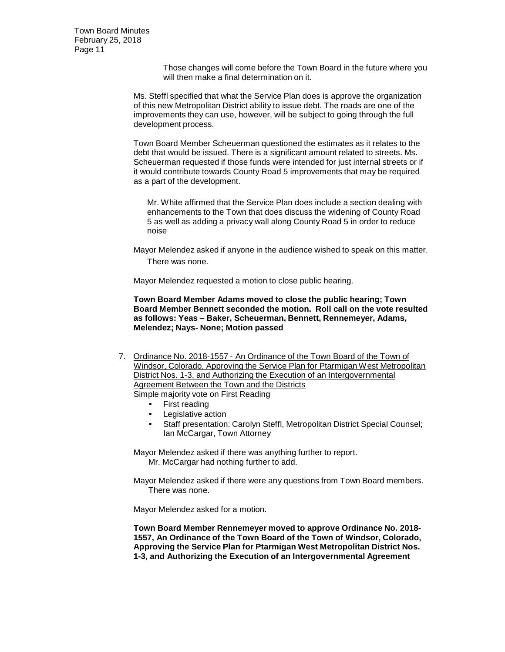> Those changes will come before the Town Board in the future where you will then make a final determination on it.

Ms. Steffl specified that what the Service Plan does is approve the organization of this new Metropolitan District ability to issue debt. The roads are one of the improvements they can use, however, will be subject to going through the full development process.

Town Board Member Scheuerman questioned the estimates as it relates to the debt that would be issued. There is a significant amount related to streets. Ms. Scheuerman requested if those funds were intended for just internal streets or if it would contribute towards County Road 5 improvements that may be required as a part of the development.

Mr. White affirmed that the Service Plan does include a section dealing with enhancements to the Town that does discuss the widening of County Road 5 as well as adding a privacy wall along County Road 5 in order to reduce noise

Mayor Melendez asked if anyone in the audience wished to speak on this matter. There was none.

Mayor Melendez requested a motion to close public hearing.

**Town Board Member Adams moved to close the public hearing; Town Board Member Bennett seconded the motion. Roll call on the vote resulted as follows: Yeas – Baker, Scheuerman, Bennett, Rennemeyer, Adams, Melendez; Nays- None; Motion passed**

- 7. Ordinance No. 2018-1557 An Ordinance of the Town Board of the Town of Windsor, Colorado, Approving the Service Plan for Ptarmigan West Metropolitan District Nos. 1-3, and Authorizing the Execution of an Intergovernmental Agreement Between the Town and the Districts Simple majority vote on First Reading
	- First reading
	- Legislative action
	- Staff presentation: Carolyn Steffl, Metropolitan District Special Counsel; Ian McCargar, Town Attorney

Mayor Melendez asked if there was anything further to report. Mr. McCargar had nothing further to add.

Mayor Melendez asked if there were any questions from Town Board members. There was none.

Mayor Melendez asked for a motion.

**Town Board Member Rennemeyer moved to approve Ordinance No. 2018- 1557, An Ordinance of the Town Board of the Town of Windsor, Colorado, Approving the Service Plan for Ptarmigan West Metropolitan District Nos. 1-3, and Authorizing the Execution of an Intergovernmental Agreement**